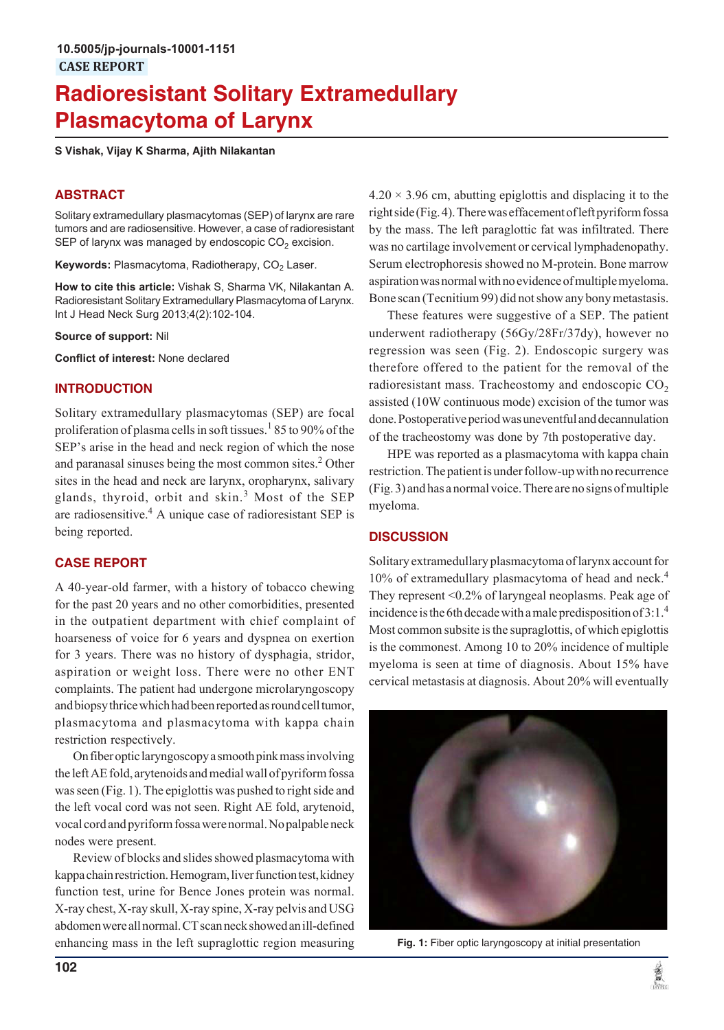# **Radioresistant Solitary Extramedullary Plasmacytoma of Larynx**

**S Vishak, Vijay K Sharma, Ajith Nilakantan**

### **ABSTRACT**

Solitary extramedullary plasmacytomas (SEP) of larynx are rare tumors and are radiosensitive. However, a case of radioresistant SEP of larynx was managed by endoscopic CO $_2$  excision.

**Keywords:** Plasmacytoma, Radiotherapy, CO<sub>2</sub> Laser.

**How to cite this article:** Vishak S, Sharma VK, Nilakantan A. Radioresistant Solitary Extramedullary Plasmacytoma of Larynx. Int J Head Neck Surg 2013;4(2):102-104.

**Source of support:** Nil

**Conflict of interest:** None declared

#### **INTRODUCTION**

Solitary extramedullary plasmacytomas (SEP) are focal proliferation of plasma cells in soft tissues.<sup>1</sup> 85 to 90% of the SEP's arise in the head and neck region of which the nose and paranasal sinuses being the most common sites.<sup>2</sup> Other sites in the head and neck are larynx, oropharynx, salivary glands, thyroid, orbit and skin.<sup>3</sup> Most of the SEP are radiosensitive.<sup>4</sup> A unique case of radioresistant SEP is being reported.

#### **CASE REPORT**

A 40-year-old farmer, with a history of tobacco chewing for the past 20 years and no other comorbidities, presented in the outpatient department with chief complaint of hoarseness of voice for 6 years and dyspnea on exertion for 3 years. There was no history of dysphagia, stridor, aspiration or weight loss. There were no other ENT complaints. The patient had undergone microlaryngoscopy and biopsy thrice which had been reported as round cell tumor, plasmacytoma and plasmacytoma with kappa chain restriction respectively.

On fiber optic laryngoscopy a smooth pink mass involving the left AE fold, arytenoids and medial wall of pyriform fossa was seen (Fig. 1). The epiglottis was pushed to right side and the left vocal cord was not seen. Right AE fold, arytenoid, vocal cord and pyriform fossa were normal. No palpable neck nodes were present.

Review of blocks and slides showed plasmacytoma with kappa chain restriction. Hemogram, liver function test, kidney function test, urine for Bence Jones protein was normal. X-ray chest, X-ray skull, X-ray spine, X-ray pelvis and USG abdomen were all normal. CT scan neck showed an ill-defined enhancing mass in the left supraglottic region measuring

 $4.20 \times 3.96$  cm, abutting epiglottis and displacing it to the right side (Fig. 4). There was effacement of left pyriform fossa by the mass. The left paraglottic fat was infiltrated. There was no cartilage involvement or cervical lymphadenopathy. Serum electrophoresis showed no M-protein. Bone marrow aspiration was normal with no evidence of multiple myeloma. Bone scan (Tecnitium 99) did not show any bony metastasis.

These features were suggestive of a SEP. The patient underwent radiotherapy (56Gy/28Fr/37dy), however no regression was seen (Fig. 2). Endoscopic surgery was therefore offered to the patient for the removal of the radioresistant mass. Tracheostomy and endoscopic  $CO<sub>2</sub>$ assisted (10W continuous mode) excision of the tumor was done. Postoperative period was uneventful and decannulation of the tracheostomy was done by 7th postoperative day.

HPE was reported as a plasmacytoma with kappa chain restriction. The patient is under follow-up with no recurrence (Fig. 3) and has a normal voice. There are no signs of multiple myeloma.

#### **DISCUSSION**

Solitary extramedullary plasmacytoma of larynx account for 10% of extramedullary plasmacytoma of head and neck.<sup>4</sup> They represent <0.2% of laryngeal neoplasms. Peak age of incidence is the 6th decade with a male predisposition of 3:1.<sup>4</sup> Most common subsite is the supraglottis, of which epiglottis is the commonest. Among 10 to 20% incidence of multiple myeloma is seen at time of diagnosis. About 15% have cervical metastasis at diagnosis. About 20% will eventually



**Fig. 1:** Fiber optic laryngoscopy at initial presentation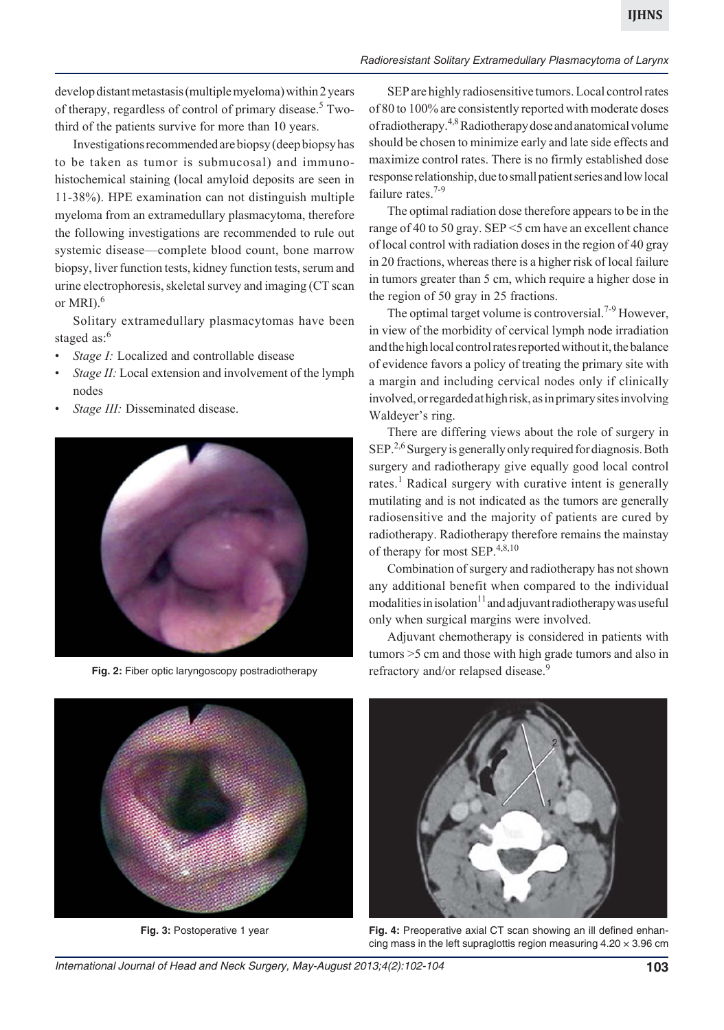#### *Radioresistant Solitary Extramedullary Plasmacytoma of Larynx*

develop distant metastasis (multiple myeloma) within 2 years of therapy, regardless of control of primary disease.<sup>5</sup> Twothird of the patients survive for more than 10 years.

Investigations recommended are biopsy (deep biopsy has to be taken as tumor is submucosal) and immunohistochemical staining (local amyloid deposits are seen in 11-38%). HPE examination can not distinguish multiple myeloma from an extramedullary plasmacytoma, therefore the following investigations are recommended to rule out systemic disease—complete blood count, bone marrow biopsy, liver function tests, kidney function tests, serum and urine electrophoresis, skeletal survey and imaging (CT scan or MRI $)$ .<sup>6</sup>

Solitary extramedullary plasmacytomas have been staged as:<sup>6</sup>

- Stage *I*: Localized and controllable disease
- *Stage II:* Local extension and involvement of the lymph nodes
- Stage III: Disseminated disease.



Fig. 2: Fiber optic laryngoscopy postradiotherapy refractory and/or relapsed disease.<sup>9</sup>

SEP are highly radiosensitive tumors. Local control rates of 80 to 100% are consistently reported with moderate doses of radiotherapy.4,8 Radiotherapy dose and anatomical volume should be chosen to minimize early and late side effects and maximize control rates. There is no firmly established dose response relationship, due to small patient series and low local failure rates.<sup>7-9</sup>

The optimal radiation dose therefore appears to be in the range of 40 to 50 gray. SEP <5 cm have an excellent chance of local control with radiation doses in the region of 40 gray in 20 fractions, whereas there is a higher risk of local failure in tumors greater than 5 cm, which require a higher dose in the region of 50 gray in 25 fractions.

The optimal target volume is controversial.<sup>7-9</sup> However, in view of the morbidity of cervical lymph node irradiation and the high local control rates reported without it, the balance of evidence favors a policy of treating the primary site with a margin and including cervical nodes only if clinically involved, or regarded at high risk, as in primary sites involving Waldeyer's ring.

There are differing views about the role of surgery in SEP.<sup>2,6</sup> Surgery is generally only required for diagnosis. Both surgery and radiotherapy give equally good local control rates.<sup>1</sup> Radical surgery with curative intent is generally mutilating and is not indicated as the tumors are generally radiosensitive and the majority of patients are cured by radiotherapy. Radiotherapy therefore remains the mainstay of therapy for most SEP.4,8,10

Combination of surgery and radiotherapy has not shown any additional benefit when compared to the individual modalities in isolation<sup>11</sup> and adjuvant radiotherapy was useful only when surgical margins were involved.

Adjuvant chemotherapy is considered in patients with tumors >5 cm and those with high grade tumors and also in





**Fig. 3:** Postoperative 1 year **Fig. 4:** Preoperative axial CT scan showing an ill defined enhancing mass in the left supraglottis region measuring  $4.20 \times 3.96$  cm